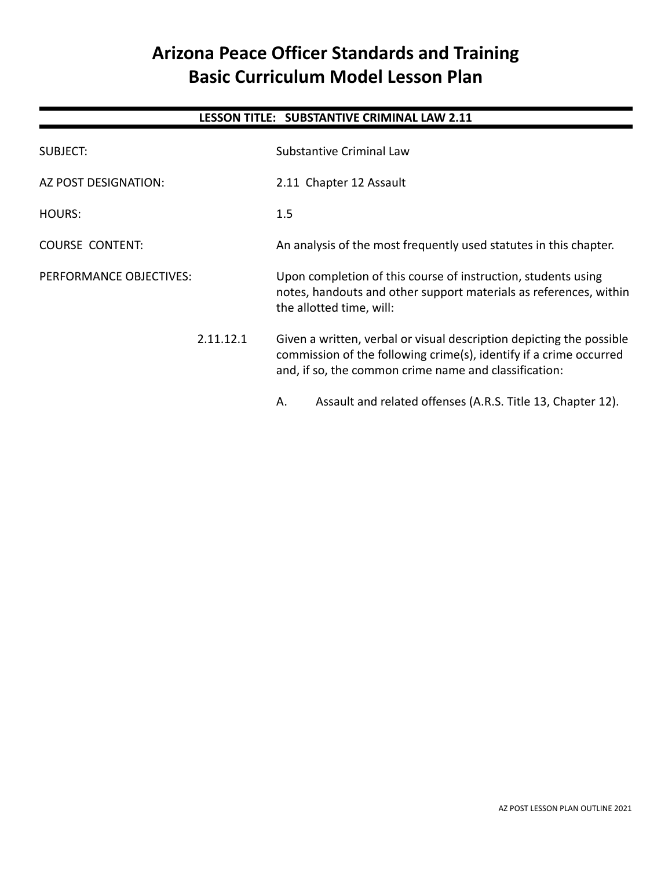# **Arizona Peace Officer Standards and Training Basic Curriculum Model Lesson Plan**

# **LESSON TITLE: SUBSTANTIVE CRIMINAL LAW 2.11**

| SUBJECT:                |           | <b>Substantive Criminal Law</b>                                                                                                                                                                     |
|-------------------------|-----------|-----------------------------------------------------------------------------------------------------------------------------------------------------------------------------------------------------|
| AZ POST DESIGNATION:    |           | 2.11 Chapter 12 Assault                                                                                                                                                                             |
| <b>HOURS:</b>           |           | 1.5                                                                                                                                                                                                 |
| <b>COURSE CONTENT:</b>  |           | An analysis of the most frequently used statutes in this chapter.                                                                                                                                   |
| PERFORMANCE OBJECTIVES: |           | Upon completion of this course of instruction, students using<br>notes, handouts and other support materials as references, within<br>the allotted time, will:                                      |
|                         | 2.11.12.1 | Given a written, verbal or visual description depicting the possible<br>commission of the following crime(s), identify if a crime occurred<br>and, if so, the common crime name and classification: |
|                         |           | Assault and related offenses (A.R.S. Title 13, Chapter 12).<br>Α.                                                                                                                                   |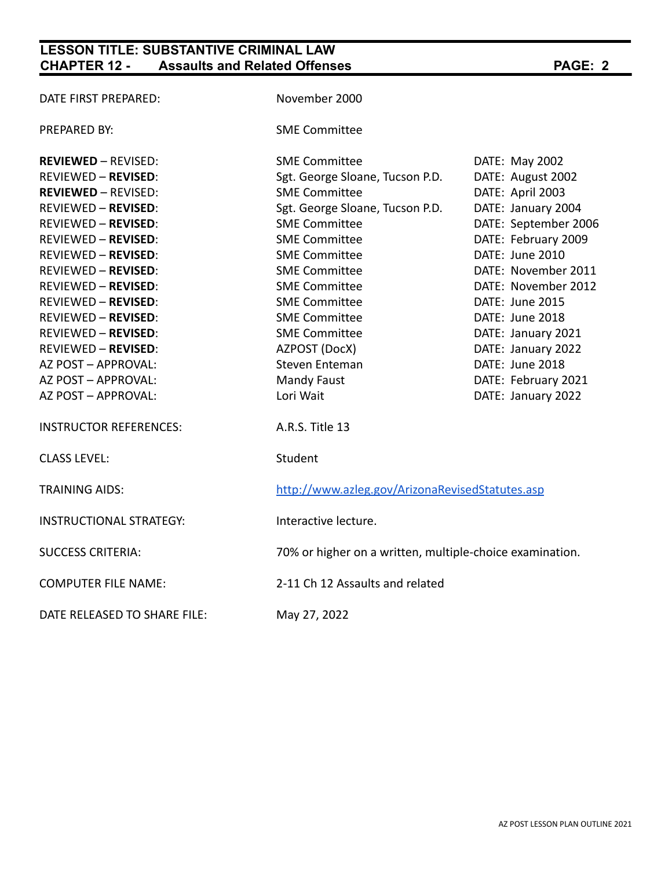# **LESSON TITLE: SUBSTANTIVE CRIMINAL LAW CHAPTER 12 - Assaults and Related Offenses PAGE: 2**

| DATE FIRST PREPARED:           | November 2000                                            |                      |  |
|--------------------------------|----------------------------------------------------------|----------------------|--|
| <b>PREPARED BY:</b>            | <b>SME Committee</b>                                     |                      |  |
| <b>REVIEWED - REVISED:</b>     | <b>SME Committee</b>                                     | DATE: May 2002       |  |
| <b>REVIEWED - REVISED:</b>     | Sgt. George Sloane, Tucson P.D.                          | DATE: August 2002    |  |
| <b>REVIEWED - REVISED:</b>     | <b>SME Committee</b>                                     | DATE: April 2003     |  |
| <b>REVIEWED - REVISED:</b>     | Sgt. George Sloane, Tucson P.D.                          | DATE: January 2004   |  |
| <b>REVIEWED - REVISED:</b>     | <b>SME Committee</b>                                     | DATE: September 2006 |  |
| <b>REVIEWED - REVISED:</b>     | <b>SME Committee</b>                                     | DATE: February 2009  |  |
| <b>REVIEWED - REVISED:</b>     | <b>SME Committee</b>                                     | DATE: June 2010      |  |
| <b>REVIEWED - REVISED:</b>     | <b>SME Committee</b>                                     | DATE: November 2011  |  |
| <b>REVIEWED - REVISED:</b>     | <b>SME Committee</b>                                     | DATE: November 2012  |  |
| <b>REVIEWED - REVISED:</b>     | <b>SME Committee</b>                                     | DATE: June 2015      |  |
| <b>REVIEWED - REVISED:</b>     | <b>SME Committee</b>                                     | DATE: June 2018      |  |
| <b>REVIEWED - REVISED:</b>     | <b>SME Committee</b>                                     | DATE: January 2021   |  |
| <b>REVIEWED - REVISED:</b>     | AZPOST (DocX)                                            | DATE: January 2022   |  |
| AZ POST - APPROVAL:            | Steven Enteman                                           | DATE: June 2018      |  |
| AZ POST - APPROVAL:            | <b>Mandy Faust</b>                                       | DATE: February 2021  |  |
| AZ POST - APPROVAL:            | Lori Wait                                                | DATE: January 2022   |  |
| <b>INSTRUCTOR REFERENCES:</b>  | A.R.S. Title 13                                          |                      |  |
| <b>CLASS LEVEL:</b>            | Student                                                  |                      |  |
| <b>TRAINING AIDS:</b>          | http://www.azleg.gov/ArizonaRevisedStatutes.asp          |                      |  |
| <b>INSTRUCTIONAL STRATEGY:</b> | Interactive lecture.                                     |                      |  |
| <b>SUCCESS CRITERIA:</b>       | 70% or higher on a written, multiple-choice examination. |                      |  |
| <b>COMPUTER FILE NAME:</b>     | 2-11 Ch 12 Assaults and related                          |                      |  |
| DATE RELEASED TO SHARE FILE:   | May 27, 2022                                             |                      |  |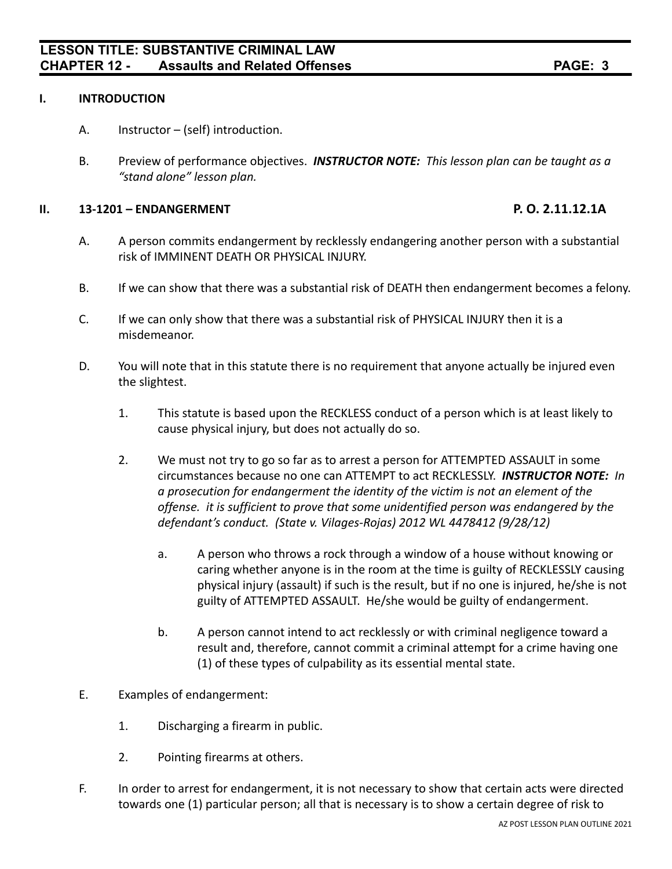### **I. INTRODUCTION**

- A. Instructor (self) introduction.
- B. Preview of performance objectives. *INSTRUCTOR NOTE: This lesson plan can be taught as a "stand alone" lesson plan.*

#### **II. 13-1201 – ENDANGERMENT P. O. 2.11.12.1A**

- A. A person commits endangerment by recklessly endangering another person with a substantial risk of IMMINENT DEATH OR PHYSICAL INJURY.
- B. If we can show that there was a substantial risk of DEATH then endangerment becomes a felony.
- C. If we can only show that there was a substantial risk of PHYSICAL INJURY then it is a misdemeanor.
- D. You will note that in this statute there is no requirement that anyone actually be injured even the slightest.
	- 1. This statute is based upon the RECKLESS conduct of a person which is at least likely to cause physical injury, but does not actually do so.
	- 2. We must not try to go so far as to arrest a person for ATTEMPTED ASSAULT in some circumstances because no one can ATTEMPT to act RECKLESSLY. *INSTRUCTOR NOTE: In a prosecution for endangerment the identity of the victim is not an element of the offense. it is sufficient to prove that some unidentified person was endangered by the defendant's conduct. (State v. Vilages-Rojas) 2012 WL 4478412 (9/28/12)*
		- a. A person who throws a rock through a window of a house without knowing or caring whether anyone is in the room at the time is guilty of RECKLESSLY causing physical injury (assault) if such is the result, but if no one is injured, he/she is not guilty of ATTEMPTED ASSAULT. He/she would be guilty of endangerment.
		- b. A person cannot intend to act recklessly or with criminal negligence toward a result and, therefore, cannot commit a criminal attempt for a crime having one (1) of these types of culpability as its essential mental state.
- E. Examples of endangerment:
	- 1. Discharging a firearm in public.
	- 2. Pointing firearms at others.
- F. In order to arrest for endangerment, it is not necessary to show that certain acts were directed towards one (1) particular person; all that is necessary is to show a certain degree of risk to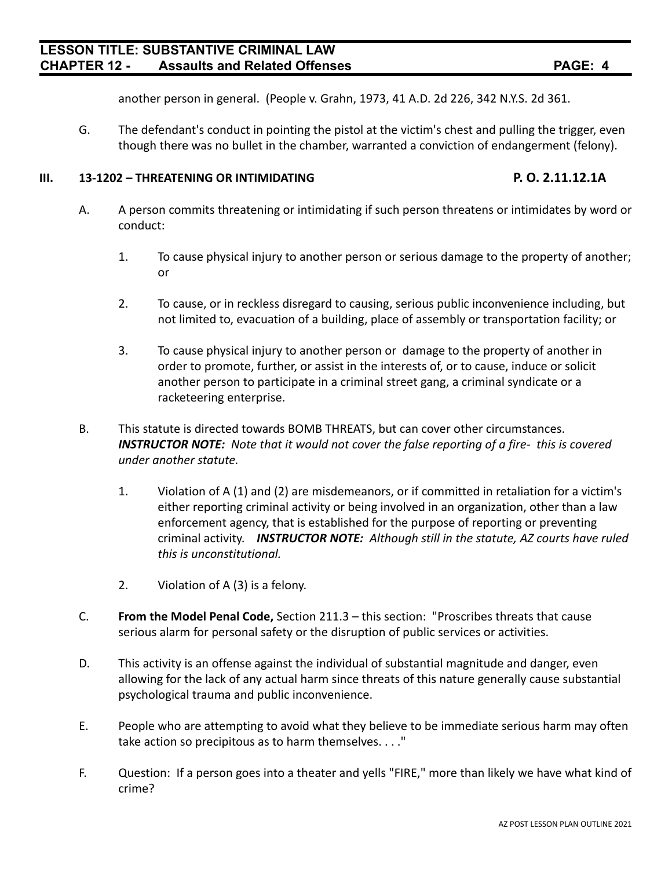another person in general. (People v. Grahn, 1973, 41 A.D. 2d 226, 342 N.Y.S. 2d 361.

G. The defendant's conduct in pointing the pistol at the victim's chest and pulling the trigger, even though there was no bullet in the chamber, warranted a conviction of endangerment (felony).

#### **III. 13-1202 – THREATENING OR INTIMIDATING P. O. 2.11.12.1A**

- A. A person commits threatening or intimidating if such person threatens or intimidates by word or conduct:
	- 1. To cause physical injury to another person or serious damage to the property of another; or
	- 2. To cause, or in reckless disregard to causing, serious public inconvenience including, but not limited to, evacuation of a building, place of assembly or transportation facility; or
	- 3. To cause physical injury to another person or damage to the property of another in order to promote, further, or assist in the interests of, or to cause, induce or solicit another person to participate in a criminal street gang, a criminal syndicate or a racketeering enterprise.
- B. This statute is directed towards BOMB THREATS, but can cover other circumstances. *INSTRUCTOR NOTE: Note that it would not cover the false reporting of a fire- this is covered under another statute.*
	- 1. Violation of A (1) and (2) are misdemeanors, or if committed in retaliation for a victim's either reporting criminal activity or being involved in an organization, other than a law enforcement agency, that is established for the purpose of reporting or preventing criminal activity. *INSTRUCTOR NOTE: Although still in the statute, AZ courts have ruled this is unconstitutional.*
	- 2. Violation of A (3) is a felony.
- C. **From the Model Penal Code,** Section 211.3 this section: "Proscribes threats that cause serious alarm for personal safety or the disruption of public services or activities.
- D. This activity is an offense against the individual of substantial magnitude and danger, even allowing for the lack of any actual harm since threats of this nature generally cause substantial psychological trauma and public inconvenience.
- E. People who are attempting to avoid what they believe to be immediate serious harm may often take action so precipitous as to harm themselves. . . ."
- F. Question: If a person goes into a theater and yells "FIRE," more than likely we have what kind of crime?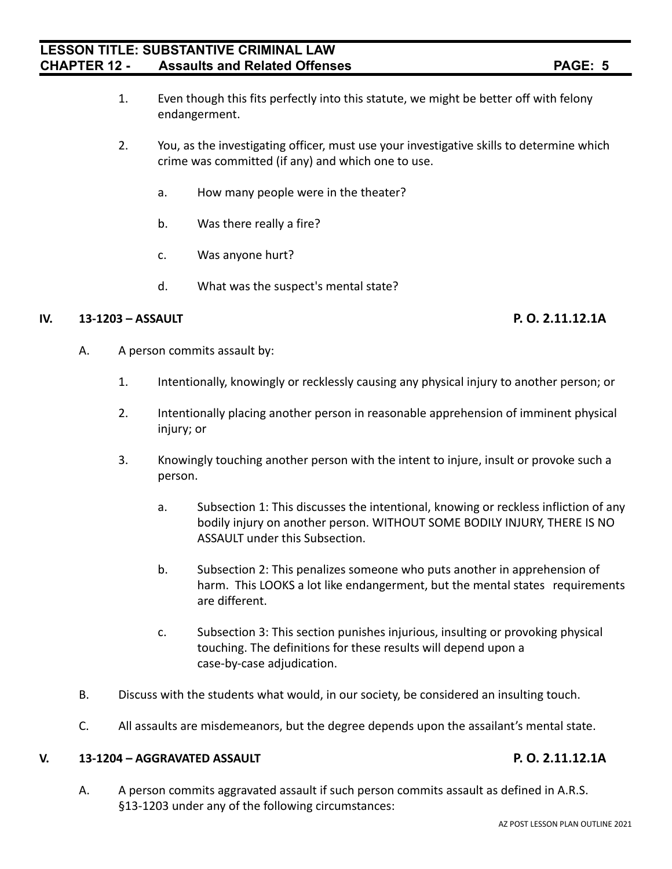- 1. Even though this fits perfectly into this statute, we might be better off with felony endangerment.
- 2. You, as the investigating officer, must use your investigative skills to determine which crime was committed (if any) and which one to use.
	- a. How many people were in the theater?
	- b. Was there really a fire?
	- c. Was anyone hurt?
	- d. What was the suspect's mental state?

### **IV. 13-1203 – ASSAULT P. O. 2.11.12.1A**

- A. A person commits assault by:
	- 1. Intentionally, knowingly or recklessly causing any physical injury to another person; or
	- 2. Intentionally placing another person in reasonable apprehension of imminent physical injury; or
	- 3. Knowingly touching another person with the intent to injure, insult or provoke such a person.
		- a. Subsection 1: This discusses the intentional, knowing or reckless infliction of any bodily injury on another person. WITHOUT SOME BODILY INJURY, THERE IS NO ASSAULT under this Subsection.
		- b. Subsection 2: This penalizes someone who puts another in apprehension of harm. This LOOKS a lot like endangerment, but the mental states requirements are different.
		- c. Subsection 3: This section punishes injurious, insulting or provoking physical touching. The definitions for these results will depend upon a case-by-case adjudication.
- B. Discuss with the students what would, in our society, be considered an insulting touch.
- C. All assaults are misdemeanors, but the degree depends upon the assailant's mental state.

#### **V. 13-1204 – AGGRAVATED ASSAULT P. O. 2.11.12.1A**

A. A person commits aggravated assault if such person commits assault as defined in A.R.S. §13-1203 under any of the following circumstances: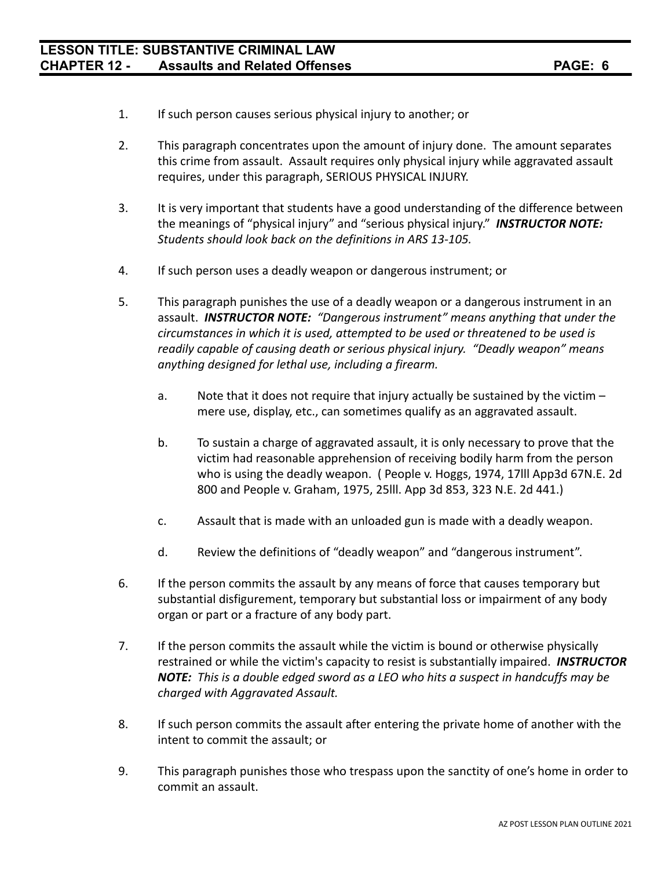- 1. If such person causes serious physical injury to another; or
- 2. This paragraph concentrates upon the amount of injury done. The amount separates this crime from assault. Assault requires only physical injury while aggravated assault requires, under this paragraph, SERIOUS PHYSICAL INJURY.
- 3. It is very important that students have a good understanding of the difference between the meanings of "physical injury" and "serious physical injury." *INSTRUCTOR NOTE: Students should look back on the definitions in ARS 13-105.*
- 4. If such person uses a deadly weapon or dangerous instrument; or
- 5. This paragraph punishes the use of a deadly weapon or a dangerous instrument in an assault. *INSTRUCTOR NOTE: "Dangerous instrument" means anything that under the circumstances in which it is used, attempted to be used or threatened to be used is readily capable of causing death or serious physical injury. "Deadly weapon" means anything designed for lethal use, including a firearm.*
	- a. Note that it does not require that injury actually be sustained by the victim mere use, display, etc., can sometimes qualify as an aggravated assault.
	- b. To sustain a charge of aggravated assault, it is only necessary to prove that the victim had reasonable apprehension of receiving bodily harm from the person who is using the deadly weapon. ( People v. Hoggs, 1974, 17lll App3d 67N.E. 2d 800 and People v. Graham, 1975, 25lll. App 3d 853, 323 N.E. 2d 441.)
	- c. Assault that is made with an unloaded gun is made with a deadly weapon.
	- d. Review the definitions of "deadly weapon" and "dangerous instrument".
- 6. If the person commits the assault by any means of force that causes temporary but substantial disfigurement, temporary but substantial loss or impairment of any body organ or part or a fracture of any body part.
- 7. If the person commits the assault while the victim is bound or otherwise physically restrained or while the victim's capacity to resist is substantially impaired. *INSTRUCTOR NOTE: This is a double edged sword as a LEO who hits a suspect in handcuffs may be charged with Aggravated Assault.*
- 8. If such person commits the assault after entering the private home of another with the intent to commit the assault; or
- 9. This paragraph punishes those who trespass upon the sanctity of one's home in order to commit an assault.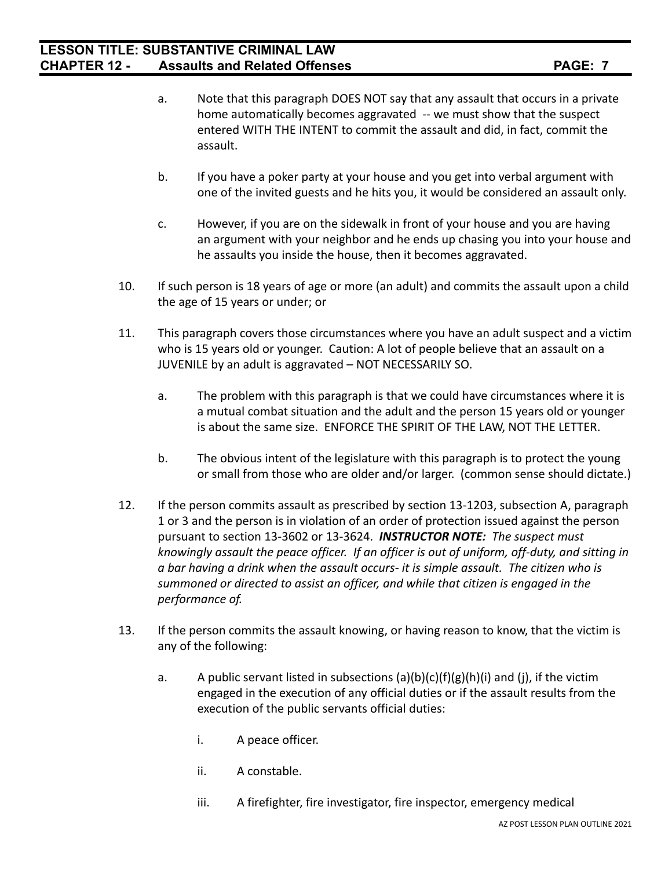- a. Note that this paragraph DOES NOT say that any assault that occurs in a private home automatically becomes aggravated -- we must show that the suspect entered WITH THE INTENT to commit the assault and did, in fact, commit the assault.
- b. If you have a poker party at your house and you get into verbal argument with one of the invited guests and he hits you, it would be considered an assault only.
- c. However, if you are on the sidewalk in front of your house and you are having an argument with your neighbor and he ends up chasing you into your house and he assaults you inside the house, then it becomes aggravated.
- 10. If such person is 18 years of age or more (an adult) and commits the assault upon a child the age of 15 years or under; or
- 11. This paragraph covers those circumstances where you have an adult suspect and a victim who is 15 years old or younger. Caution: A lot of people believe that an assault on a JUVENILE by an adult is aggravated – NOT NECESSARILY SO.
	- a. The problem with this paragraph is that we could have circumstances where it is a mutual combat situation and the adult and the person 15 years old or younger is about the same size. ENFORCE THE SPIRIT OF THE LAW, NOT THE LETTER.
	- b. The obvious intent of the legislature with this paragraph is to protect the young or small from those who are older and/or larger. (common sense should dictate.)
- 12. If the person commits assault as prescribed by section 13-1203, subsection A, paragraph 1 or 3 and the person is in violation of an order of protection issued against the person pursuant to section 13-3602 or 13-3624. *INSTRUCTOR NOTE: The suspect must knowingly assault the peace officer. If an officer is out of uniform, off-duty, and sitting in a bar having a drink when the assault occurs- it is simple assault. The citizen who is summoned or directed to assist an officer, and while that citizen is engaged in the performance of.*
- 13. If the person commits the assault knowing, or having reason to know, that the victim is any of the following:
	- a. A public servant listed in subsections  $(a)(b)(c)(f)(g)(h)(i)$  and  $(i)$ , if the victim engaged in the execution of any official duties or if the assault results from the execution of the public servants official duties:
		- i. A peace officer.
		- ii. A constable.
		- iii. A firefighter, fire investigator, fire inspector, emergency medical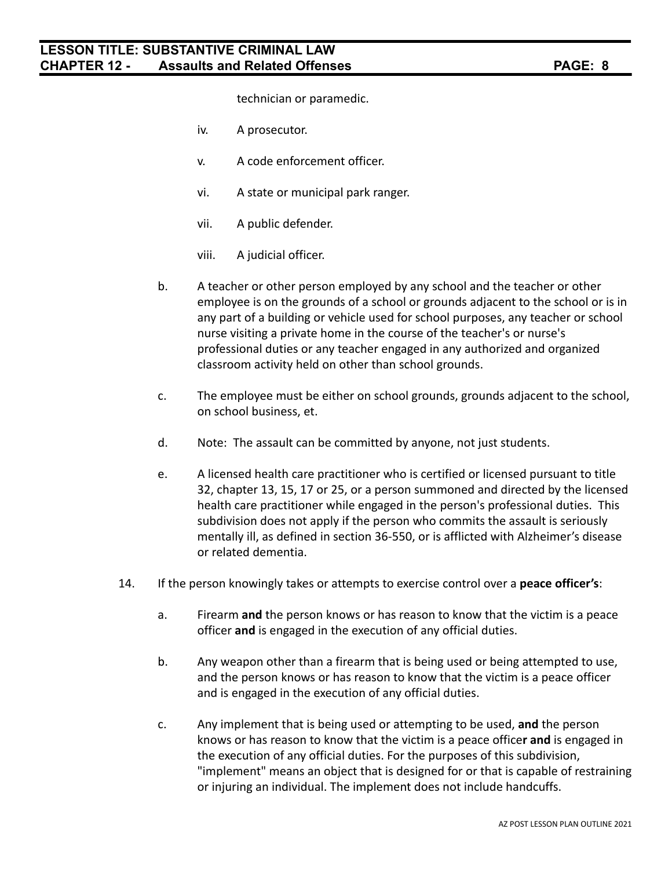technician or paramedic.

- iv. A prosecutor.
- v. A code enforcement officer.
- vi. A state or municipal park ranger.
- vii. A public defender.
- viii. A judicial officer.
- b. A teacher or other person employed by any school and the teacher or other employee is on the grounds of a school or grounds adjacent to the school or is in any part of a building or vehicle used for school purposes, any teacher or school nurse visiting a private home in the course of the teacher's or nurse's professional duties or any teacher engaged in any authorized and organized classroom activity held on other than school grounds.
- c. The employee must be either on school grounds, grounds adjacent to the school, on school business, et.
- d. Note: The assault can be committed by anyone, not just students.
- e. A licensed health care practitioner who is certified or licensed pursuant to title 32, chapter 13, 15, 17 or 25, or a person summoned and directed by the licensed health care practitioner while engaged in the person's professional duties. This subdivision does not apply if the person who commits the assault is seriously mentally ill, as defined in section 36-550, or is afflicted with Alzheimer's disease or related dementia.
- 14. If the person knowingly takes or attempts to exercise control over a **peace officer's**:
	- a. Firearm **and** the person knows or has reason to know that the victim is a peace officer **and** is engaged in the execution of any official duties.
	- b. Any weapon other than a firearm that is being used or being attempted to use, and the person knows or has reason to know that the victim is a peace officer and is engaged in the execution of any official duties.
	- c. Any implement that is being used or attempting to be used, **and** the person knows or has reason to know that the victim is a peace office**r and** is engaged in the execution of any official duties. For the purposes of this subdivision, "implement" means an object that is designed for or that is capable of restraining or injuring an individual. The implement does not include handcuffs.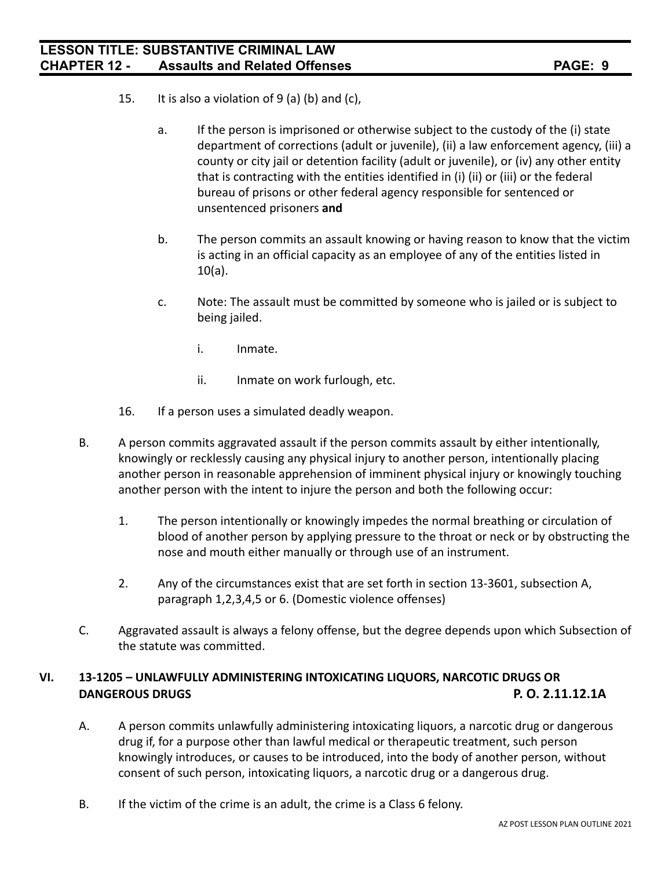- 15. It is also a violation of  $9$  (a) (b) and (c),
	- a. If the person is imprisoned or otherwise subject to the custody of the (i) state department of corrections (adult or juvenile), (ii) a law enforcement agency, (iii) a county or city jail or detention facility (adult or juvenile), or (iv) any other entity that is contracting with the entities identified in (i) (ii) or (iii) or the federal bureau of prisons or other federal agency responsible for sentenced or unsentenced prisoners **and**
	- b. The person commits an assault knowing or having reason to know that the victim is acting in an official capacity as an employee of any of the entities listed in 10(a).
	- c. Note: The assault must be committed by someone who is jailed or is subject to being jailed.
		- i. Inmate.
		- ii. Inmate on work furlough, etc.
- 16. If a person uses a simulated deadly weapon.
- B. A person commits aggravated assault if the person commits assault by either intentionally, knowingly or recklessly causing any physical injury to another person, intentionally placing another person in reasonable apprehension of imminent physical injury or knowingly touching another person with the intent to injure the person and both the following occur:
	- 1. The person intentionally or knowingly impedes the normal breathing or circulation of blood of another person by applying pressure to the throat or neck or by obstructing the nose and mouth either manually or through use of an instrument.
	- 2. Any of the circumstances exist that are set forth in section 13-3601, subsection A, paragraph 1,2,3,4,5 or 6. (Domestic violence offenses)
- C. Aggravated assault is always a felony offense, but the degree depends upon which Subsection of the statute was committed.

# **VI. 13-1205 – UNLAWFULLY ADMINISTERING INTOXICATING LIQUORS, NARCOTIC DRUGS OR DANGEROUS DRUGS P. O. 2.11.12.1A**

- A. A person commits unlawfully administering intoxicating liquors, a narcotic drug or dangerous drug if, for a purpose other than lawful medical or therapeutic treatment, such person knowingly introduces, or causes to be introduced, into the body of another person, without consent of such person, intoxicating liquors, a narcotic drug or a dangerous drug.
- B. If the victim of the crime is an adult, the crime is a Class 6 felony.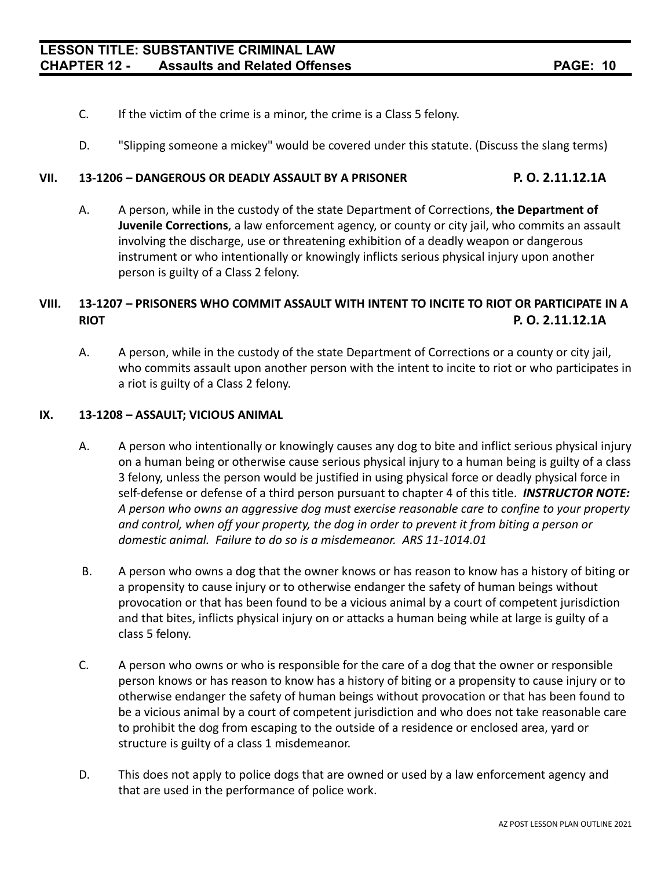- C. If the victim of the crime is a minor, the crime is a Class 5 felony.
- D. "Slipping someone a mickey" would be covered under this statute. (Discuss the slang terms)

### **VII. 13-1206 – DANGEROUS OR DEADLY ASSAULT BY A PRISONER P. O. 2.11.12.1A**

A. A person, while in the custody of the state Department of Corrections, **the Department of Juvenile Corrections**, a law enforcement agency, or county or city jail, who commits an assault involving the discharge, use or threatening exhibition of a deadly weapon or dangerous instrument or who intentionally or knowingly inflicts serious physical injury upon another person is guilty of a Class 2 felony.

# **VIII. 13-1207 – PRISONERS WHO COMMIT ASSAULT WITH INTENT TO INCITE TO RIOT OR PARTICIPATE IN A RIOT P. O. 2.11.12.1A**

A. A person, while in the custody of the state Department of Corrections or a county or city jail, who commits assault upon another person with the intent to incite to riot or who participates in a riot is guilty of a Class 2 felony.

#### **IX. 13-1208 – ASSAULT; VICIOUS ANIMAL**

- A. A person who intentionally or knowingly causes any dog to bite and inflict serious physical injury on a human being or otherwise cause serious physical injury to a human being is guilty of a class 3 felony, unless the person would be justified in using physical force or deadly physical force in self-defense or defense of a third person pursuant to chapter 4 of this title. *INSTRUCTOR NOTE: A person who owns an aggressive dog must exercise reasonable care to confine to your property and control, when off your property, the dog in order to prevent it from biting a person or domestic animal. Failure to do so is a misdemeanor. ARS 11-1014.01*
- B. A person who owns a dog that the owner knows or has reason to know has a history of biting or a propensity to cause injury or to otherwise endanger the safety of human beings without provocation or that has been found to be a vicious animal by a court of competent jurisdiction and that bites, inflicts physical injury on or attacks a human being while at large is guilty of a class 5 felony.
- C. A person who owns or who is responsible for the care of a dog that the owner or responsible person knows or has reason to know has a history of biting or a propensity to cause injury or to otherwise endanger the safety of human beings without provocation or that has been found to be a vicious animal by a court of competent jurisdiction and who does not take reasonable care to prohibit the dog from escaping to the outside of a residence or enclosed area, yard or structure is guilty of a class 1 misdemeanor.
- D. This does not apply to police dogs that are owned or used by a law enforcement agency and that are used in the performance of police work.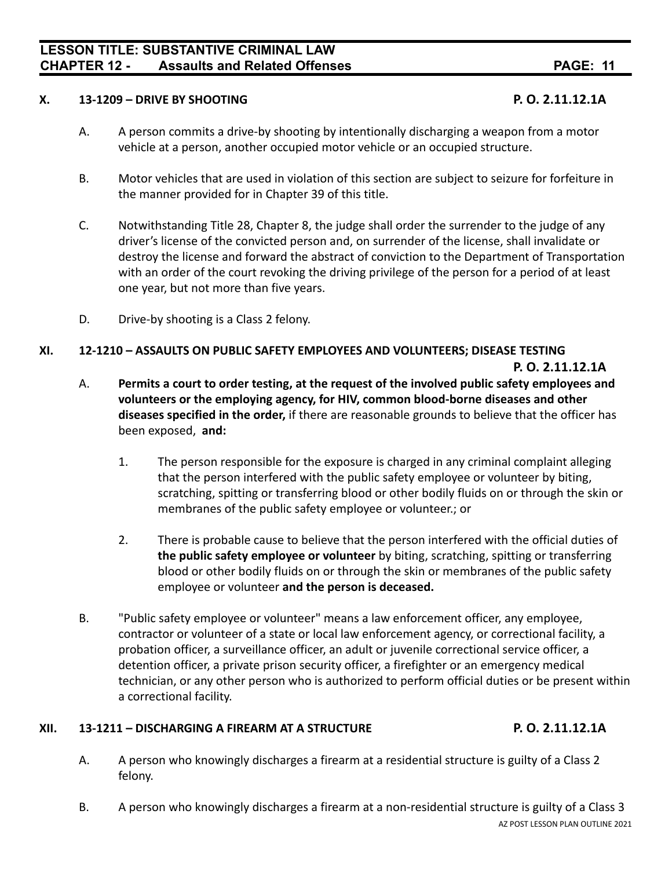## **LESSON TITLE: SUBSTANTIVE CRIMINAL LAW CHAPTER 12 - Assaults and Related Offenses PAGE: 11**

#### **X. 13-1209 – DRIVE BY SHOOTING P. O. 2.11.12.1A**

- A. A person commits a drive-by shooting by intentionally discharging a weapon from a motor vehicle at a person, another occupied motor vehicle or an occupied structure.
- B. Motor vehicles that are used in violation of this section are subject to seizure for forfeiture in the manner provided for in Chapter 39 of this title.
- C. Notwithstanding Title 28, Chapter 8, the judge shall order the surrender to the judge of any driver's license of the convicted person and, on surrender of the license, shall invalidate or destroy the license and forward the abstract of conviction to the Department of Transportation with an order of the court revoking the driving privilege of the person for a period of at least one year, but not more than five years.
- D. Drive-by shooting is a Class 2 felony.

### **XI. 12-1210 – ASSAULTS ON PUBLIC SAFETY EMPLOYEES AND VOLUNTEERS; DISEASE TESTING**

**P. O. 2.11.12.1A**

- A. **Permits a court to order testing, at the request of the involved public safety employees and volunteers or the employing agency, for HIV, common blood-borne diseases and other diseases specified in the order,** if there are reasonable grounds to believe that the officer has been exposed, **and:**
	- 1. The person responsible for the exposure is charged in any criminal complaint alleging that the person interfered with the public safety employee or volunteer by biting, scratching, spitting or transferring blood or other bodily fluids on or through the skin or membranes of the public safety employee or volunteer.; or
	- 2. There is probable cause to believe that the person interfered with the official duties of **the public safety employee or volunteer** by biting, scratching, spitting or transferring blood or other bodily fluids on or through the skin or membranes of the public safety employee or volunteer **and the person is deceased.**
- B. "Public safety employee or volunteer" means a law enforcement officer, any employee, contractor or volunteer of a state or local law enforcement agency, or correctional facility, a probation officer, a surveillance officer, an adult or juvenile correctional service officer, a detention officer, a private prison security officer, a firefighter or an emergency medical technician, or any other person who is authorized to perform official duties or be present within a correctional facility.

### **XII. 13-1211 – DISCHARGING A FIREARM AT A STRUCTURE P. O. 2.11.12.1A**

- A. A person who knowingly discharges a firearm at a residential structure is guilty of a Class 2 felony.
- B. A person who knowingly discharges a firearm at a non-residential structure is guilty of a Class 3 AZ POST LESSON PLAN OUTLINE 2021